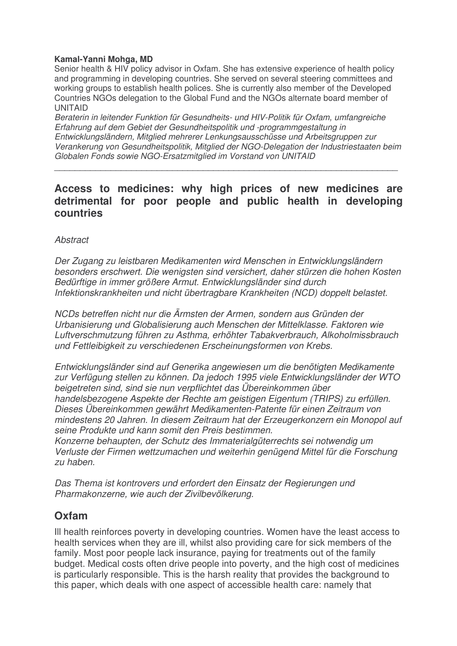## **Kamal-Yanni Mohga, MD**

Senior health & HIV policy advisor in Oxfam. She has extensive experience of health policy and programming in developing countries. She served on several steering committees and working groups to establish health polices. She is currently also member of the Developed Countries NGOs delegation to the Global Fund and the NGOs alternate board member of UNITAID

*Beraterin in leitender Funktion für Gesundheits- und HIV-Politik für Oxfam, umfangreiche Erfahrung auf dem Gebiet der Gesundheitspolitik und -programmgestaltung in Entwicklungsländern, Mitglied mehrerer Lenkungsausschüsse und Arbeitsgruppen zur Verankerung von Gesundheitspolitik, Mitglied der NGO-Delegation der Industriestaaten beim Globalen Fonds sowie NGO-Ersatzmitglied im Vorstand von UNITAID*

 $\overline{a_1}$  ,  $\overline{a_2}$  ,  $\overline{a_3}$  ,  $\overline{a_4}$  ,  $\overline{a_5}$  ,  $\overline{a_6}$  ,  $\overline{a_7}$  ,  $\overline{a_8}$  ,  $\overline{a_9}$  ,  $\overline{a_9}$  ,  $\overline{a_9}$  ,  $\overline{a_9}$  ,  $\overline{a_9}$  ,  $\overline{a_9}$  ,  $\overline{a_9}$  ,  $\overline{a_9}$  ,  $\overline{a_9}$  ,

## **Access to medicines: why high prices of new medicines are detrimental for poor people and public health in developing countries**

## *Abstract*

*Der Zugang zu leistbaren Medikamenten wird Menschen in Entwicklungsländern besonders erschwert. Die wenigsten sind versichert, daher stürzen die hohen Kosten Bedürftige in immer größere Armut. Entwicklungsländer sind durch Infektionskrankheiten und nicht übertragbare Krankheiten (NCD) doppelt belastet.*

*NCDs betreffen nicht nur die Ärmsten der Armen, sondern aus Gründen der Urbanisierung und Globalisierung auch Menschen der Mittelklasse. Faktoren wie Luftverschmutzung führen zu Asthma, erhöhter Tabakverbrauch, Alkoholmissbrauch und Fettleibigkeit zu verschiedenen Erscheinungsformen von Krebs.*

*Entwicklungsländer sind auf Generika angewiesen um die benötigten Medikamente zur Verfügung stellen zu können. Da jedoch 1995 viele Entwicklungsländer der WTO beigetreten sind, sind sie nun verpflichtet das Übereinkommen über handelsbezogene Aspekte der Rechte am geistigen Eigentum (TRIPS) zu erfüllen. Dieses Übereinkommen gewährt Medikamenten-Patente für einen Zeitraum von mindestens 20 Jahren. In diesem Zeitraum hat der Erzeugerkonzern ein Monopol auf seine Produkte und kann somit den Preis bestimmen.*

*Konzerne behaupten, der Schutz des Immaterialgüterrechts sei notwendig um Verluste der Firmen wettzumachen und weiterhin genügend Mittel für die Forschung zu haben.*

*Das Thema ist kontrovers und erfordert den Einsatz der Regierungen und Pharmakonzerne, wie auch der Zivilbevölkerung.*

## **Oxfam**

Ill health reinforces poverty in developing countries. Women have the least access to health services when they are ill, whilst also providing care for sick members of the family. Most poor people lack insurance, paying for treatments out of the family budget. Medical costs often drive people into poverty, and the high cost of medicines is particularly responsible. This is the harsh reality that provides the background to this paper, which deals with one aspect of accessible health care: namely that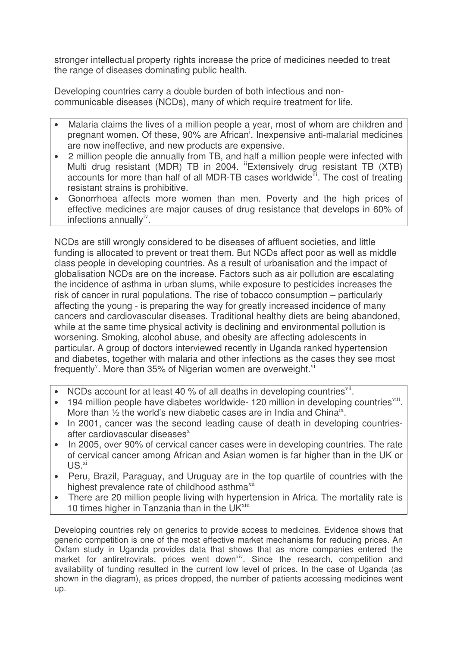stronger intellectual property rights increase the price of medicines needed to treat the range of diseases dominating public health.

Developing countries carry a double burden of both infectious and noncommunicable diseases (NCDs), many of which require treatment for life.

- Malaria claims the lives of a million people a year, most of whom are children and pregnant women. Of these, 90% are African<sup>i</sup>. Inexpensive anti-malarial medicines are now ineffective, and new products are expensive.
- 2 million people die annually from TB, and half a million people were infected with Multi drug resistant (MDR) TB in 2004. "Extensively drug resistant TB (XTB) accounts for more than half of all MDR-TB cases worldwide<sup>iii</sup>. The cost of treating resistant strains is prohibitive.
- Gonorrhoea affects more women than men. Poverty and the high prices of effective medicines are major causes of drug resistance that develops in 60% of infections annually ${}^{iv}$ .

NCDs are still wrongly considered to be diseases of affluent societies, and little funding is allocated to prevent or treat them. But NCDs affect poor as well as middle class people in developing countries. As a result of urbanisation and the impact of globalisation NCDs are on the increase. Factors such as air pollution are escalating the incidence of asthma in urban slums, while exposure to pesticides increases the risk of cancer in rural populations. The rise of tobacco consumption – particularly affecting the young - is preparing the way for greatly increased incidence of many cancers and cardiovascular diseases. Traditional healthy diets are being abandoned, while at the same time physical activity is declining and environmental pollution is worsening. Smoking, alcohol abuse, and obesity are affecting adolescents in particular. A group of doctors interviewed recently in Uganda ranked hypertension and diabetes, together with malaria and other infections as the cases they see most frequently<sup>v</sup>. More than 35% of Nigerian women are overweight.<sup>vi</sup>

- NCDs account for at least 40 % of all deaths in developing countries<sup>vii</sup>.
- 194 million people have diabetes worldwide- 120 million in developing countries<sup>viii</sup>. More than  $\frac{1}{2}$  the world's new diabetic cases are in India and China<sup>ix</sup>.
- In 2001, cancer was the second leading cause of death in developing countriesafter cardiovascular diseases<sup>x</sup>
- In 2005, over 90% of cervical cancer cases were in developing countries. The rate of cervical cancer among African and Asian women is far higher than in the UK or  $US.<sup>xi</sup>$
- Peru, Brazil, Paraguay, and Uruguay are in the top quartile of countries with the highest prevalence rate of childhood asthma<sup>xii</sup>
- There are 20 million people living with hypertension in Africa. The mortality rate is 10 times higher in Tanzania than in the UK<sup>xiii</sup>

Developing countries rely on generics to provide access to medicines. Evidence shows that generic competition is one of the most effective market mechanisms for reducing prices. An Oxfam study in Uganda provides data that shows that as more companies entered the market for antiretrovirals, prices went down<sup>xiv</sup>. Since the research, competition and availability of funding resulted in the current low level of prices. In the case of Uganda (as shown in the diagram), as prices dropped, the number of patients accessing medicines went up.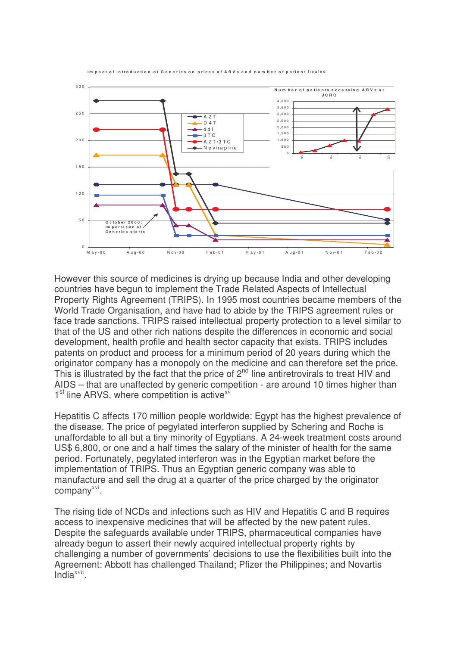

Im nact of introduction of Generics on prices of ARVs and number of patient treated

However this source of medicines is drying up because India and other developing countries have begun to implement the Trade Related Aspects of Intellectual Property Rights Agreement (TRIPS). In 1995 most countries became members of the World Trade Organisation, and have had to abide by the TRIPS agreement rules or face trade sanctions. TRIPS raised intellectual property protection to a level similar to that of the US and other rich nations despite the differences in economic and social development, health profile and health sector capacity that exists. TRIPS includes patents on product and process for a minimum period of 20 years during which the originator company has a monopoly on the medicine and can therefore set the price. This is illustrated by the fact that the price of  $2^{nd}$  line antiretrovirals to treat HIV and AIDS – that are unaffected by generic competition - are around 10 times higher than 1<sup>st</sup> line ARVS, where competition is active<sup>xv</sup>

Hepatitis C affects 170 million people worldwide: Egypt has the highest prevalence of the disease. The price of pegylated interferon supplied by Schering and Roche is unaffordable to all but a tiny minority of Egyptians. A 24-week treatment costs around US\$ 6,800, or one and a half times the salary of the minister of health for the same period. Fortunately, pegylated interferon was in the Egyptian market before the implementation of TRIPS. Thus an Egyptian generic company was able to manufacture and sell the drug at a quarter of the price charged by the originator company<sup>xvi</sup>.

The rising tide of NCDs and infections such as HIV and Hepatitis C and B requires access to inexpensive medicines that will be affected by the new patent rules. Despite the safeguards available under TRIPS, pharmaceutical companies have already begun to assert their newly acquired intellectual property rights by challenging a number of governments' decisions to use the flexibilities built into the Agreement: Abbott has challenged Thailand; Pfizer the Philippines; and Novartis India<sup>xvii</sup>.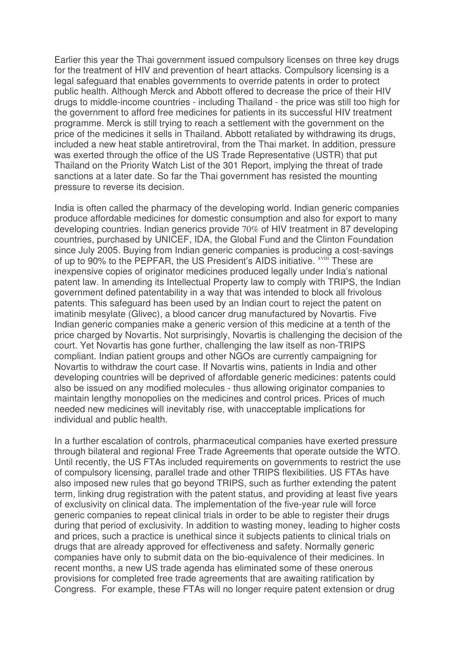Earlier this year the Thai government issued compulsory licenses on three key drugs for the treatment of HIV and prevention of heart attacks. Compulsory licensing is a legal safeguard that enables governments to override patents in order to protect public health. Although Merck and Abbott offered to decrease the price of their HIV drugs to middle-income countries - including Thailand - the price was still too high for the government to afford free medicines for patients in its successful HIV treatment programme. Merck is still trying to reach a settlement with the government on the price of the medicines it sells in Thailand. Abbott retaliated by withdrawing its drugs, included a new heat stable antiretroviral, from the Thai market. In addition, pressure was exerted through the office of the US Trade Representative (USTR) that put Thailand on the Priority Watch List of the 301 Report, implying the threat of trade sanctions at a later date. So far the Thai government has resisted the mounting pressure to reverse its decision.

India is often called the pharmacy of the developing world. Indian generic companies produce affordable medicines for domestic consumption and also for export to many developing countries. Indian generics provide 70% of HIV treatment in 87 developing countries, purchased by UNICEF, IDA, the Global Fund and the Clinton Foundation since July 2005. Buying from Indian generic companies is producing a cost-savings of up to 90% to the PEPFAR, the US President's AIDS initiative. <sup>xviii</sup> These are inexpensive copies of originator medicines produced legally under India's national patent law. In amending its Intellectual Property law to comply with TRIPS, the Indian government defined patentability in a way that was intended to block all frivolous patents. This safeguard has been used by an Indian court to reject the patent on imatinib mesylate (Glivec), a blood cancer drug manufactured by Novartis. Five Indian generic companies make a generic version of this medicine at a tenth of the price charged by Novartis. Not surprisingly, Novartis is challenging the decision of the court. Yet Novartis has gone further, challenging the law itself as non-TRIPS compliant. Indian patient groups and other NGOs are currently campaigning for Novartis to withdraw the court case. If Novartis wins, patients in India and other developing countries will be deprived of affordable generic medicines: patents could also be issued on any modified molecules - thus allowing originator companies to maintain lengthy monopolies on the medicines and control prices. Prices of much needed new medicines will inevitably rise, with unacceptable implications for individual and public health.

In a further escalation of controls, pharmaceutical companies have exerted pressure through bilateral and regional Free Trade Agreements that operate outside the WTO. Until recently, the US FTAs included requirements on governments to restrict the use of compulsory licensing, parallel trade and other TRIPS flexibilities. US FTAs have also imposed new rules that go beyond TRIPS, such as further extending the patent term, linking drug registration with the patent status, and providing at least five years of exclusivity on clinical data. The implementation of the five-year rule will force generic companies to repeat clinical trials in order to be able to register their drugs during that period of exclusivity. In addition to wasting money, leading to higher costs and prices, such a practice is unethical since it subjects patients to clinical trials on drugs that are already approved for effectiveness and safety. Normally generic companies have only to submit data on the bio-equivalence of their medicines. In recent months, a new US trade agenda has eliminated some of these onerous provisions for completed free trade agreements that are awaiting ratification by Congress. For example, these FTAs will no longer require patent extension or drug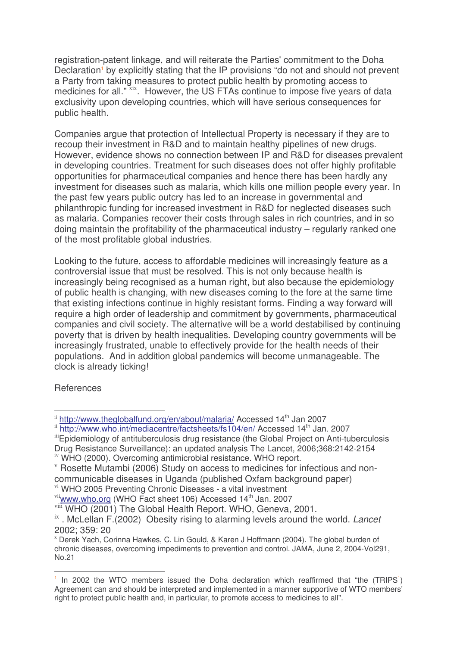registration-patent linkage, and will reiterate the Parties'commitment to the Doha Declaration<sup>1</sup> by explicitly stating that the IP provisions "do not and should not prevent a Party from taking measures to protect public health by promoting access to medicines for all."<sup>xix</sup>. However, the US FTAs continue to impose five years of data exclusivity upon developing countries, which will have serious consequences for public health.

Companies argue that protection of Intellectual Property is necessary if they are to recoup their investment in R&D and to maintain healthy pipelines of new drugs. However, evidence shows no connection between IP and R&D for diseases prevalent in developing countries. Treatment for such diseases does not offer highly profitable opportunities for pharmaceutical companies and hence there has been hardly any investment for diseases such as malaria, which kills one million people every year. In the past few years public outcry has led to an increase in governmental and philanthropic funding for increased investment in R&D for neglected diseases such as malaria. Companies recover their costs through sales in rich countries, and in so doing maintain the profitability of the pharmaceutical industry – regularly ranked one of the most profitable global industries.

Looking to the future, access to affordable medicines will increasingly feature as a controversial issue that must be resolved. This is not only because health is increasingly being recognised as a human right, but also because the epidemiology of public health is changing, with new diseases coming to the fore at the same time that existing infections continue in highly resistant forms. Finding a way forward will require a high order of leadership and commitment by governments, pharmaceutical companies and civil society. The alternative will be a world destabilised by continuing poverty that is driven by health inequalities. Developing country governments will be increasingly frustrated, unable to effectively provide for the health needs of their populations. And in addition global pandemics will become unmanageable. The clock is already ticking!

**References** 

<sup>v</sup> Rosette Mutambi (2006) Study on access to medicines for infectious and noncommunicable diseases in Uganda (published Oxfam background paper)

ii http://www.theglobalfund.org/en/about/malaria/ Accessed 14<sup>th</sup> Jan 2007

ii http://www.who.int/mediacentre/factsheets/fs104/en/ Accessed 14<sup>th</sup> Jan. 2007

iii Epidemiology of antituberculosis drug resistance (the Global Project on Anti-tuberculosis

Drug Resistance Surveillance): an updated analysis The Lancet, 2006;368:2142-2154 iv WHO (2000). Overcoming antimicrobial resistance. WHO report.

vi WHO 2005 Preventing Chronic Diseases - a vital investment

<sup>&</sup>lt;sup>vii</sup>www.who.org (WHO Fact sheet 106) Accessed 14<sup>th</sup> Jan. 2007

viii WHO (2001) The Global Health Report. WHO, Geneva, 2001.

ix . McLellan F.(2002) Obesity rising to alarming levels around the world. *Lancet* 2002; 359: 20

<sup>x</sup> Derek Yach, Corinna Hawkes, C. Lin Gould, & Karen J Hoffmann (2004). The global burden of chronic diseases, overcoming impediments to prevention and control. JAMA, June 2, 2004-Vol291, No.21

<sup>&</sup>lt;sup>1</sup> In 2002 the WTO members issued the Doha declaration which reaffirmed that "the (TRIPS<sup>1</sup>) Agreement can and should be interpreted and implemented in a manner supportive of WTO members' right to protect public health and, in particular, to promote access to medicines to all".